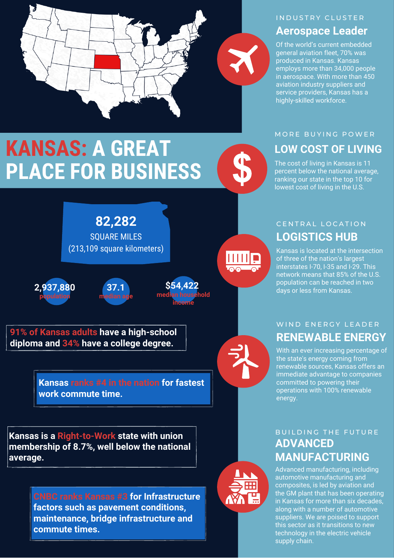

# IN DUSTRY CLUSTER

# **Aerospace Leader**

Of the world's current embedded general aviation fleet, 70% was produced in Kansas. Kansas employs more than 34,000 people in aerospace. With more than 450 aviation industry suppliers and service providers, Kansas has a highly-skilled workforce.

# **KANSAS: A GREAT PLACE FOR BUSINESS**

**HILL** 

#### MORE BUYING POWER

## **LOW COST OF LIVING**

The cost of living in Kansas is 11 percent below the national average, ranking our state in the top 10 for lowest cost of living in the U.S.

### **LOGISTICS HUB** CENTRAL LOCATION

Kansas is located at the intersection of three of the nation's largest interstates I-70, I-35 and I-29. This network means that 85% of the U.S. population can be reached in two days or less from Kansas.

### **RENEWABLE ENERGY** WIND ENERGY LEADER

With an ever increasing percentage of the state's energy coming from renewable sources, Kansas offers an immediate advantage to companies committed to powering their operations with 100% renewable energy.

### **ADVANCED MANUFACTURING** BUILDING THE FUTURE

Advanced manufacturing, including automotive manufacturing and composites, is led by aviation and the GM plant that has been operating in Kansas for more than six decades, along with a number of automotive suppliers. We are poised to support this sector as it transitions to new technology in the electric vehicle supply chain.



**2,937,880 population**





**91% of Kansas adults have a high-school diploma and 34% have a college degree.**

> **Kansas ranks #4 in the nation for fastest work commute time.**

**Kansas is a Right-to-Work state with union membership of 8.7%, well below the national average.**

> **CNBC ranks Kansas #3 for Infrastructure factors such as pavement conditions, maintenance, bridge infrastructure and commute times.**